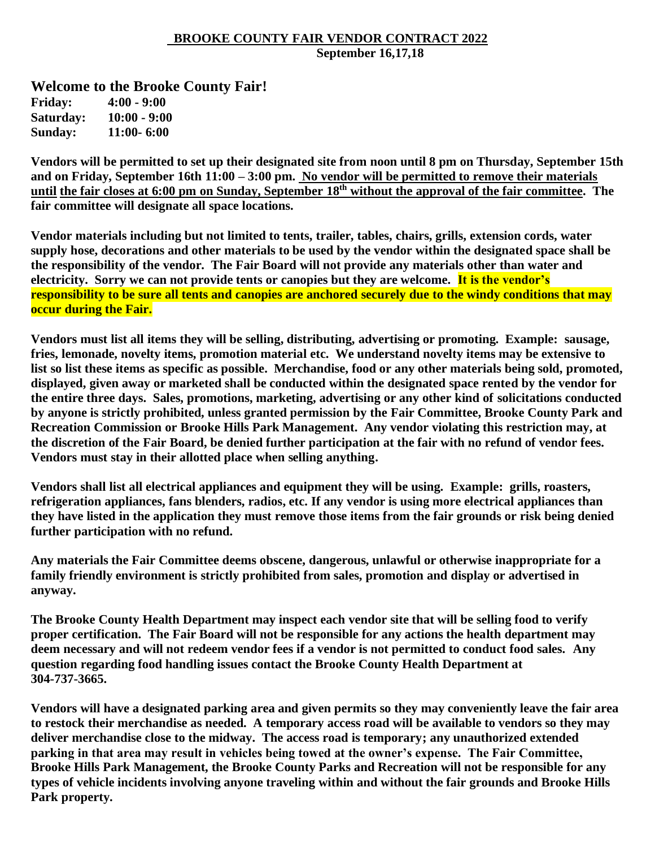## **BROOKE COUNTY FAIR VENDOR CONTRACT 2022 September 16,17,18**

**Welcome to the Brooke County Fair!**

| Friday:   | $4:00 - 9:00$  |
|-----------|----------------|
| Saturday: | $10:00 - 9:00$ |
| Sunday:   | 11:00- 6:00    |

**Vendors will be permitted to set up their designated site from noon until 8 pm on Thursday, September 15th and on Friday, September 16th 11:00 – 3:00 pm. No vendor will be permitted to remove their materials until the fair closes at 6:00 pm on Sunday, September 18 th without the approval of the fair committee. The fair committee will designate all space locations.** 

**Vendor materials including but not limited to tents, trailer, tables, chairs, grills, extension cords, water supply hose, decorations and other materials to be used by the vendor within the designated space shall be the responsibility of the vendor. The Fair Board will not provide any materials other than water and electricity. Sorry we can not provide tents or canopies but they are welcome. It is the vendor's responsibility to be sure all tents and canopies are anchored securely due to the windy conditions that may occur during the Fair.** 

**Vendors must list all items they will be selling, distributing, advertising or promoting. Example: sausage, fries, lemonade, novelty items, promotion material etc. We understand novelty items may be extensive to list so list these items as specific as possible. Merchandise, food or any other materials being sold, promoted, displayed, given away or marketed shall be conducted within the designated space rented by the vendor for the entire three days. Sales, promotions, marketing, advertising or any other kind of solicitations conducted by anyone is strictly prohibited, unless granted permission by the Fair Committee, Brooke County Park and Recreation Commission or Brooke Hills Park Management. Any vendor violating this restriction may, at the discretion of the Fair Board, be denied further participation at the fair with no refund of vendor fees. Vendors must stay in their allotted place when selling anything.**

**Vendors shall list all electrical appliances and equipment they will be using. Example: grills, roasters, refrigeration appliances, fans blenders, radios, etc. If any vendor is using more electrical appliances than they have listed in the application they must remove those items from the fair grounds or risk being denied further participation with no refund.**

**Any materials the Fair Committee deems obscene, dangerous, unlawful or otherwise inappropriate for a family friendly environment is strictly prohibited from sales, promotion and display or advertised in anyway.**

**The Brooke County Health Department may inspect each vendor site that will be selling food to verify proper certification. The Fair Board will not be responsible for any actions the health department may deem necessary and will not redeem vendor fees if a vendor is not permitted to conduct food sales. Any question regarding food handling issues contact the Brooke County Health Department at 304-737-3665.**

**Vendors will have a designated parking area and given permits so they may conveniently leave the fair area to restock their merchandise as needed. A temporary access road will be available to vendors so they may deliver merchandise close to the midway. The access road is temporary; any unauthorized extended parking in that area may result in vehicles being towed at the owner's expense. The Fair Committee, Brooke Hills Park Management, the Brooke County Parks and Recreation will not be responsible for any types of vehicle incidents involving anyone traveling within and without the fair grounds and Brooke Hills Park property.**